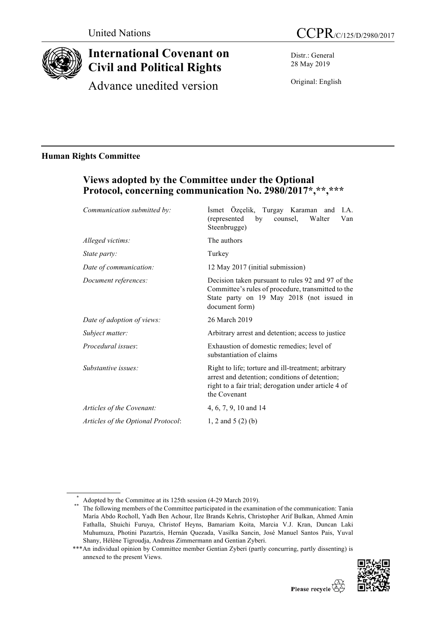

# **International Covenant on Civil and Political Rights**

Advance unedited version

Distr.: General 28 May 2019

Original: English

## **Human Rights Committee**

## **Views adopted by the Committee under the Optional Protocol, concerning communication No. 2980/2017\*,\*\*,\*\*\***

| Communication submitted by:        | İsmet Özçelik, Turgay Karaman<br>I.A.<br>and<br>(represented<br>by<br>Walter<br>Van<br>counsel,<br>Steenbrugge)                                                               |
|------------------------------------|-------------------------------------------------------------------------------------------------------------------------------------------------------------------------------|
| Alleged victims:                   | The authors                                                                                                                                                                   |
| <i>State party:</i>                | Turkey                                                                                                                                                                        |
| Date of communication:             | 12 May 2017 (initial submission)                                                                                                                                              |
| Document references:               | Decision taken pursuant to rules 92 and 97 of the<br>Committee's rules of procedure, transmitted to the<br>State party on 19 May 2018 (not issued in<br>document form)        |
| Date of adoption of views:         | 26 March 2019                                                                                                                                                                 |
| Subject matter:                    | Arbitrary arrest and detention; access to justice                                                                                                                             |
| Procedural issues:                 | Exhaustion of domestic remedies; level of<br>substantiation of claims                                                                                                         |
| Substantive issues:                | Right to life; torture and ill-treatment; arbitrary<br>arrest and detention; conditions of detention;<br>right to a fair trial; derogation under article 4 of<br>the Covenant |
| Articles of the Covenant:          | 4, 6, 7, 9, 10 and 14                                                                                                                                                         |
| Articles of the Optional Protocol: | 1, 2 and 5 $(2)$ (b)                                                                                                                                                          |
|                                    |                                                                                                                                                                               |

<sup>\*\*\*</sup>An individual opinion by Committee member Gentian Zyberi (partly concurring, partly dissenting) is annexed to the present Views.



<sup>\*</sup> Adopted by the Committee at its 125th session (4-29 March 2019).<br>\*\* The following members of the Committee participated in the examination of the communication: Tania María Abdo Rocholl, Yadh Ben Achour, Ilze Brands Kehris, Christopher Arif Bulkan, Ahmed Amin Fathalla, Shuichi Furuya, Christof Heyns, Bamariam Koita, Marcia V.J. Kran, Duncan Laki Muhumuza, Photini Pazartzis, Hernán Quezada, Vasilka Sancin, José Manuel Santos Pais, Yuval Shany, Hélène Tigroudja, Andreas Zimmermann and Gentian Zyberi.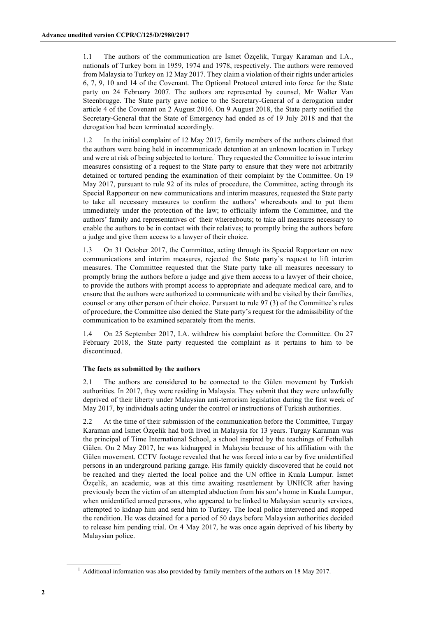1.1 The authors of the communication are İsmet Özçelik, Turgay Karaman and I.A., nationals of Turkey born in 1959, 1974 and 1978, respectively. The authors were removed from Malaysia to Turkey on 12 May 2017. They claim a violation of their rights under articles 6, 7, 9, 10 and 14 of the Covenant. The Optional Protocol entered into force for the State party on 24 February 2007. The authors are represented by counsel, Mr Walter Van Steenbrugge. The State party gave notice to the Secretary-General of a derogation under article 4 of the Covenant on 2 August 2016. On 9 August 2018, the State party notified the Secretary-General that the State of Emergency had ended as of 19 July 2018 and that the derogation had been terminated accordingly.

1.2 In the initial complaint of 12 May 2017, family members of the authors claimed that the authors were being held in incommunicado detention at an unknown location in Turkey and were at risk of being subjected to torture. <sup>1</sup> They requested the Committee to issue interim measures consisting of a request to the State party to ensure that they were not arbitrarily detained or tortured pending the examination of their complaint by the Committee. On 19 May 2017, pursuant to rule 92 of its rules of procedure, the Committee, acting through its Special Rapporteur on new communications and interim measures, requested the State party to take all necessary measures to confirm the authors' whereabouts and to put them immediately under the protection of the law; to officially inform the Committee, and the authors' family and representatives of their whereabouts; to take all measures necessary to enable the authors to be in contact with their relatives; to promptly bring the authors before a judge and give them access to a lawyer of their choice.

1.3 On 31 October 2017, the Committee, acting through its Special Rapporteur on new communications and interim measures, rejected the State party's request to lift interim measures. The Committee requested that the State party take all measures necessary to promptly bring the authors before a judge and give them access to a lawyer of their choice, to provide the authors with prompt access to appropriate and adequate medical care, and to ensure that the authors were authorized to communicate with and be visited by their families, counsel or any other person of their choice. Pursuant to rule 97 (3) of the Committee's rules of procedure, the Committee also denied the State party's request for the admissibility of the communication to be examined separately from the merits.

1.4 On 25 September 2017, I.A. withdrew his complaint before the Committee. On 27 February 2018, the State party requested the complaint as it pertains to him to be discontinued.

## **The facts as submitted by the authors**

2.1 The authors are considered to be connected to the Gülen movement by Turkish authorities. In 2017, they were residing in Malaysia. They submit that they were unlawfully deprived of their liberty under Malaysian anti-terrorism legislation during the first week of May 2017, by individuals acting under the control or instructions of Turkish authorities.

2.2 At the time of their submission of the communication before the Committee, Turgay Karaman and İsmet Özçelik had both lived in Malaysia for 13 years. Turgay Karaman was the principal of Time International School, a school inspired by the teachings of Fethullah Gülen. On 2 May 2017, he was kidnapped in Malaysia because of his affiliation with the Gülen movement. CCTV footage revealed that he was forced into a car by five unidentified persons in an underground parking garage. His family quickly discovered that he could not be reached and they alerted the local police and the UN office in Kuala Lumpur. İsmet Özçelik, an academic, was at this time awaiting resettlement by UNHCR after having previously been the victim of an attempted abduction from his son's home in Kuala Lumpur, when unidentified armed persons, who appeared to be linked to Malaysian security services, attempted to kidnap him and send him to Turkey. The local police intervened and stopped the rendition. He was detained for a period of 50 days before Malaysian authorities decided to release him pending trial. On 4 May 2017, he was once again deprived of his liberty by Malaysian police.

<sup>&</sup>lt;sup>1</sup> Additional information was also provided by family members of the authors on 18 May 2017.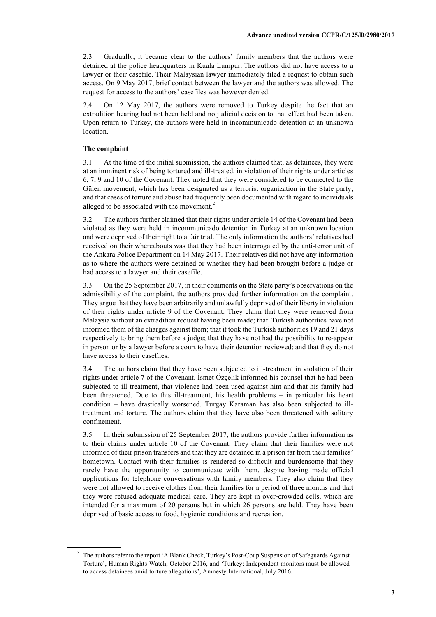2.3 Gradually, it became clear to the authors' family members that the authors were detained at the police headquarters in Kuala Lumpur. The authors did not have access to a lawyer or their casefile. Their Malaysian lawyer immediately filed a request to obtain such access. On 9 May 2017, brief contact between the lawyer and the authors was allowed. The request for access to the authors' casefiles was however denied.

2.4 On 12 May 2017, the authors were removed to Turkey despite the fact that an extradition hearing had not been held and no judicial decision to that effect had been taken. Upon return to Turkey, the authors were held in incommunicado detention at an unknown location.

## **The complaint**

3.1 At the time of the initial submission, the authors claimed that, as detainees, they were at an imminent risk of being tortured and ill-treated, in violation of their rights under articles 6, 7, 9 and 10 of the Covenant. They noted that they were considered to be connected to the Gülen movement, which has been designated as a terrorist organization in the State party, and that cases of torture and abuse had frequently been documented with regard to individuals alleged to be associated with the movement.<sup>2</sup>

3.2 The authors further claimed that their rights under article 14 of the Covenant had been violated as they were held in incommunicado detention in Turkey at an unknown location and were deprived of their right to a fair trial. The only information the authors' relatives had received on their whereabouts was that they had been interrogated by the anti-terror unit of the Ankara Police Department on 14 May 2017. Their relatives did not have any information as to where the authors were detained or whether they had been brought before a judge or had access to a lawyer and their casefile.

3.3 On the 25 September 2017, in their comments on the State party's observations on the admissibility of the complaint, the authors provided further information on the complaint. They argue that they have been arbitrarily and unlawfully deprived of their liberty in violation of their rights under article 9 of the Covenant. They claim that they were removed from Malaysia without an extradition request having been made; that Turkish authorities have not informed them of the charges against them; that it took the Turkish authorities 19 and 21 days respectively to bring them before a judge; that they have not had the possibility to re-appear in person or by a lawyer before a court to have their detention reviewed; and that they do not have access to their casefiles.

3.4 The authors claim that they have been subjected to ill-treatment in violation of their rights under article 7 of the Covenant. İsmet Özçelik informed his counsel that he had been subjected to ill-treatment, that violence had been used against him and that his family had been threatened. Due to this ill-treatment, his health problems – in particular his heart condition – have drastically worsened. Turgay Karaman has also been subjected to illtreatment and torture. The authors claim that they have also been threatened with solitary confinement.

3.5 In their submission of 25 September 2017, the authors provide further information as to their claims under article 10 of the Covenant. They claim that their families were not informed of their prison transfers and that they are detained in a prison far from their families' hometown. Contact with their families is rendered so difficult and burdensome that they rarely have the opportunity to communicate with them, despite having made official applications for telephone conversations with family members. They also claim that they were not allowed to receive clothes from their families for a period of three months and that they were refused adequate medical care. They are kept in over-crowded cells, which are intended for a maximum of 20 persons but in which 26 persons are held. They have been deprived of basic access to food, hygienic conditions and recreation.

<sup>&</sup>lt;sup>2</sup> The authors refer to the report 'A Blank Check, Turkey's Post-Coup Suspension of Safeguards Against Torture', Human Rights Watch, October 2016, and 'Turkey: Independent monitors must be allowed to access detainees amid torture allegations', Amnesty International, July 2016.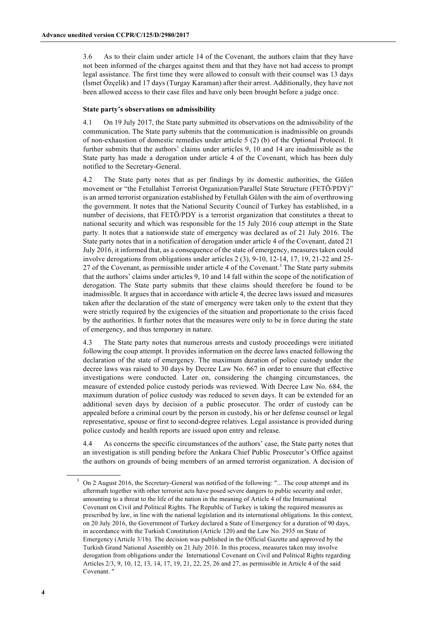3.6 As to their claim under article 14 of the Covenant, the authors claim that they have not been informed of the charges against them and that they have not had access to prompt legal assistance. The first time they were allowed to consult with their counsel was 13 days (İsmet Özçelik) and 17 days (Turgay Karaman) after their arrest. Additionally, they have not been allowed access to their case files and have only been brought before a judge once.

#### **State party's observations on admissibility**

4.1 On 19 July 2017, the State party submitted its observations on the admissibility of the communication. The State party submits that the communication is inadmissible on grounds of non-exhaustion of domestic remedies under article 5 (2) (b) of the Optional Protocol. It further submits that the authors' claims under articles 9, 10 and 14 are inadmissible as the State party has made a derogation under article 4 of the Covenant, which has been duly notified to the Secretary-General.

4.2 The State party notes that as per findings by its domestic authorities, the Gülen movement or "the Fetullahist Terrorist Organization/Parallel State Structure (FETÖ/PDY)" is an armed terrorist organization established by Fetullah Gülen with the aim of overthrowing the government. It notes that the National Security Council of Turkey has established, in a number of decisions, that FETÖ/PDY is a terrorist organization that constitutes a threat to national security and which was responsible for the 15 July 2016 coup attempt in the State party. It notes that a nationwide state of emergency was declared as of 21 July 2016. The State party notes that in a notification of derogation under article 4 of the Covenant, dated 21 July 2016, it informed that, as a consequence of the state of emergency, measures taken could involve derogations from obligations under articles 2 (3), 9-10, 12-14, 17, 19, 21-22 and 25- 27 of the Covenant, as permissible under article 4 of the Covenant.<sup>3</sup> The State party submits that the authors' claims under articles 9, 10 and 14 fall within the scope of the notification of derogation. The State party submits that these claims should therefore be found to be inadmissible. It argues that in accordance with article 4, the decree laws issued and measures taken after the declaration of the state of emergency were taken only to the extent that they were strictly required by the exigencies of the situation and proportionate to the crisis faced by the authorities. It further notes that the measures were only to be in force during the state of emergency, and thus temporary in nature.

4.3 The State party notes that numerous arrests and custody proceedings were initiated following the coup attempt. It provides information on the decree laws enacted following the declaration of the state of emergency. The maximum duration of police custody under the decree laws was raised to 30 days by Decree Law No. 667 in order to ensure that effective investigations were conducted. Later on, considering the changing circumstances, the measure of extended police custody periods was reviewed. With Decree Law No. 684, the maximum duration of police custody was reduced to seven days. It can be extended for an additional seven days by decision of a public prosecutor. The order of custody can be appealed before a criminal court by the person in custody, his or her defense counsel or legal representative, spouse or first to second-degree relatives. Legal assistance is provided during police custody and health reports are issued upon entry and release.

4.4 As concerns the specific circumstances of the authors' case, the State party notes that an investigation is still pending before the Ankara Chief Public Prosecutor's Office against the authors on grounds of being members of an armed terrorist organization. A decision of

<sup>3</sup> On 2 August 2016, the Secretary-General was notified of the following: "... The coup attempt and its aftermath together with other terrorist acts have posed severe dangers to public security and order, amounting to a threat to the life of the nation in the meaning of Article 4 of the International Covenant on Civil and Political Rights. The Republic of Turkey is taking the required measures as prescribed by law, in line with the national legislation and its international obligations. In this context, on 20 July 2016, the Government of Turkey declared a State of Emergency for a duration of 90 days, in accordance with the Turkish Constitution (Article 120) and the Law No. 2935 on State of Emergency (Article 3/1b). The decision was published in the Official Gazette and approved by the Turkish Grand National Assembly on 21 July 2016. In this process, measures taken may involve derogation from obligations under the International Covenant on Civil and Political Rights regarding Articles 2/3, 9, 10, 12, 13, 14, 17, 19, 21, 22, 25, 26 and 27, as permissible in Article 4 of the said Covenant. "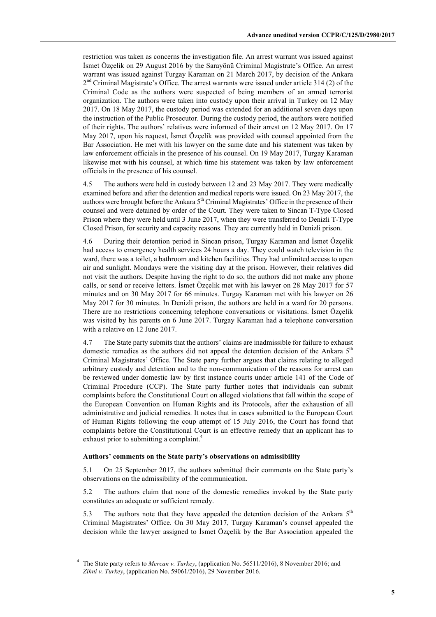restriction was taken as concerns the investigation file. An arrest warrant was issued against İsmet Özçelik on 29 August 2016 by the Sarayönü Criminal Magistrate's Office. An arrest warrant was issued against Turgay Karaman on 21 March 2017, by decision of the Ankara  $2<sup>nd</sup>$  Criminal Magistrate's Office. The arrest warrants were issued under article 314 (2) of the Criminal Code as the authors were suspected of being members of an armed terrorist organization. The authors were taken into custody upon their arrival in Turkey on 12 May 2017. On 18 May 2017, the custody period was extended for an additional seven days upon the instruction of the Public Prosecutor. During the custody period, the authors were notified of their rights. The authors' relatives were informed of their arrest on 12 May 2017. On 17 May 2017, upon his request, İsmet Özçelik was provided with counsel appointed from the Bar Association. He met with his lawyer on the same date and his statement was taken by law enforcement officials in the presence of his counsel. On 19 May 2017, Turgay Karaman likewise met with his counsel, at which time his statement was taken by law enforcement officials in the presence of his counsel.

4.5 The authors were held in custody between 12 and 23 May 2017. They were medically examined before and after the detention and medical reports were issued. On 23 May 2017, the authors were brought before the Ankara  $5<sup>th</sup>$  Criminal Magistrates' Office in the presence of their counsel and were detained by order of the Court. They were taken to Sincan T-Type Closed Prison where they were held until 3 June 2017, when they were transferred to Denizli T-Type Closed Prison, for security and capacity reasons. They are currently held in Denizli prison.

4.6 During their detention period in Sincan prison, Turgay Karaman and İsmet Özçelik had access to emergency health services 24 hours a day. They could watch television in the ward, there was a toilet, a bathroom and kitchen facilities. They had unlimited access to open air and sunlight. Mondays were the visiting day at the prison. However, their relatives did not visit the authors. Despite having the right to do so, the authors did not make any phone calls, or send or receive letters. İsmet Özçelik met with his lawyer on 28 May 2017 for 57 minutes and on 30 May 2017 for 66 minutes. Turgay Karaman met with his lawyer on 26 May 2017 for 30 minutes. In Denizli prison, the authors are held in a ward for 20 persons. There are no restrictions concerning telephone conversations or visitations. İsmet Özçelik was visited by his parents on 6 June 2017. Turgay Karaman had a telephone conversation with a relative on 12 June 2017.

4.7 The State party submits that the authors' claims are inadmissible for failure to exhaust domestic remedies as the authors did not appeal the detention decision of the Ankara  $5<sup>th</sup>$ Criminal Magistrates' Office. The State party further argues that claims relating to alleged arbitrary custody and detention and to the non-communication of the reasons for arrest can be reviewed under domestic law by first instance courts under article 141 of the Code of Criminal Procedure (CCP). The State party further notes that individuals can submit complaints before the Constitutional Court on alleged violations that fall within the scope of the European Convention on Human Rights and its Protocols, after the exhaustion of all administrative and judicial remedies. It notes that in cases submitted to the European Court of Human Rights following the coup attempt of 15 July 2016, the Court has found that complaints before the Constitutional Court is an effective remedy that an applicant has to exhaust prior to submitting a complaint.<sup>4</sup>

## **Authors' comments on the State party's observations on admissibility**

5.1 On 25 September 2017, the authors submitted their comments on the State party's observations on the admissibility of the communication.

5.2 The authors claim that none of the domestic remedies invoked by the State party constitutes an adequate or sufficient remedy.

5.3 The authors note that they have appealed the detention decision of the Ankara  $5<sup>th</sup>$ Criminal Magistrates' Office. On 30 May 2017, Turgay Karaman's counsel appealed the decision while the lawyer assigned to İsmet Özçelik by the Bar Association appealed the

<sup>4</sup> The State party refers to *Mercan v. Turkey*, (application No. 56511/2016), 8 November 2016; and *Zihni v. Turkey*, (application No. 59061/2016), 29 November 2016.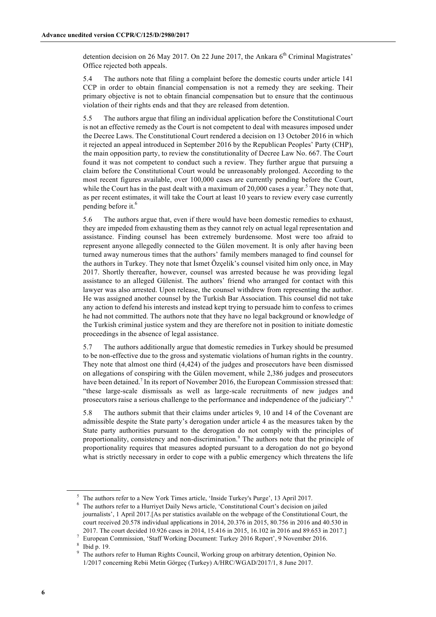detention decision on 26 May 2017. On 22 June 2017, the Ankara  $6<sup>th</sup>$  Criminal Magistrates' Office rejected both appeals.

5.4 The authors note that filing a complaint before the domestic courts under article 141 CCP in order to obtain financial compensation is not a remedy they are seeking. Their primary objective is not to obtain financial compensation but to ensure that the continuous violation of their rights ends and that they are released from detention.

5.5 The authors argue that filing an individual application before the Constitutional Court is not an effective remedy as the Court is not competent to deal with measures imposed under the Decree Laws. The Constitutional Court rendered a decision on 13 October 2016 in which it rejected an appeal introduced in September 2016 by the Republican Peoples' Party (CHP), the main opposition party, to review the constitutionality of Decree Law No. 667. The Court found it was not competent to conduct such a review. They further argue that pursuing a claim before the Constitutional Court would be unreasonably prolonged. According to the most recent figures available, over 100,000 cases are currently pending before the Court, while the Court has in the past dealt with a maximum of 20,000 cases a year.<sup>5</sup> They note that, as per recent estimates, it will take the Court at least 10 years to review every case currently pending before it. 6

5.6 The authors argue that, even if there would have been domestic remedies to exhaust, they are impeded from exhausting them as they cannot rely on actual legal representation and assistance. Finding counsel has been extremely burdensome. Most were too afraid to represent anyone allegedly connected to the Gülen movement. It is only after having been turned away numerous times that the authors' family members managed to find counsel for the authors in Turkey. They note that İsmet Özçelik's counsel visited him only once, in May 2017. Shortly thereafter, however, counsel was arrested because he was providing legal assistance to an alleged Gülenist. The authors' friend who arranged for contact with this lawyer was also arrested. Upon release, the counsel withdrew from representing the author. He was assigned another counsel by the Turkish Bar Association. This counsel did not take any action to defend his interests and instead kept trying to persuade him to confess to crimes he had not committed. The authors note that they have no legal background or knowledge of the Turkish criminal justice system and they are therefore not in position to initiate domestic proceedings in the absence of legal assistance.

5.7 The authors additionally argue that domestic remedies in Turkey should be presumed to be non-effective due to the gross and systematic violations of human rights in the country. They note that almost one third (4,424) of the judges and prosecutors have been dismissed on allegations of conspiring with the Gülen movement, while 2,386 judges and prosecutors have been detained.<sup>7</sup> In its report of November 2016, the European Commission stressed that: "these large-scale dismissals as well as large-scale recruitments of new judges and prosecutors raise a serious challenge to the performance and independence of the judiciary".<sup>8</sup>

5.8 The authors submit that their claims under articles 9, 10 and 14 of the Covenant are admissible despite the State party's derogation under article 4 as the measures taken by the State party authorities pursuant to the derogation do not comply with the principles of proportionality, consistency and non-discrimination.<sup>9</sup> The authors note that the principle of proportionality requires that measures adopted pursuant to a derogation do not go beyond what is strictly necessary in order to cope with a public emergency which threatens the life

<sup>5</sup> The authors refer to a New York Times article, 'Inside Turkey's Purge', 13 April 2017.

<sup>6</sup> The authors refer to a Hurriyet Daily News article, 'Constitutional Court's decision on jailed journalists', 1 April 2017.[As per statistics available on the webpage of the Constitutional Court, the court received 20.578 individual applications in 2014, 20.376 in 2015, 80.756 in 2016 and 40.530 in 2017. The court decided 10.926 cases in 2014, 15.416 in 2015, 16.102 in 2016 and 89.653 in 2017.]

<sup>7</sup> European Commission, 'Staff Working Document: Turkey 2016 Report', 9 November 2016. 8 Ibid p. 19.

<sup>&</sup>lt;sup>9</sup> The authors refer to Human Rights Council, Working group on arbitrary detention, Opinion No. 1/2017 concerning Rebii Metin Görgeç (Turkey) A/HRC/WGAD/2017/1, 8 June 2017.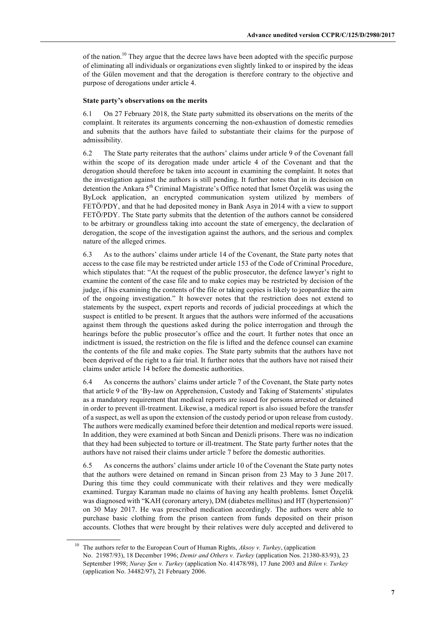of the nation.<sup>10</sup> They argue that the decree laws have been adopted with the specific purpose of eliminating all individuals or organizations even slightly linked to or inspired by the ideas of the Gülen movement and that the derogation is therefore contrary to the objective and purpose of derogations under article 4.

### **State party's observations on the merits**

6.1 On 27 February 2018, the State party submitted its observations on the merits of the complaint. It reiterates its arguments concerning the non-exhaustion of domestic remedies and submits that the authors have failed to substantiate their claims for the purpose of admissibility.

6.2 The State party reiterates that the authors' claims under article 9 of the Covenant fall within the scope of its derogation made under article 4 of the Covenant and that the derogation should therefore be taken into account in examining the complaint. It notes that the investigation against the authors is still pending. It further notes that in its decision on detention the Ankara 5<sup>th</sup> Criminal Magistrate's Office noted that Ismet Özçelik was using the ByLock application, an encrypted communication system utilized by members of FETÖ/PDY, and that he had deposited money in Bank Asya in 2014 with a view to support FETÖ/PDY. The State party submits that the detention of the authors cannot be considered to be arbitrary or groundless taking into account the state of emergency, the declaration of derogation, the scope of the investigation against the authors, and the serious and complex nature of the alleged crimes.

6.3 As to the authors' claims under article 14 of the Covenant, the State party notes that access to the case file may be restricted under article 153 of the Code of Criminal Procedure, which stipulates that: "At the request of the public prosecutor, the defence lawyer's right to examine the content of the case file and to make copies may be restricted by decision of the judge, if his examining the contents of the file or taking copies is likely to jeopardize the aim of the ongoing investigation." It however notes that the restriction does not extend to statements by the suspect, expert reports and records of judicial proceedings at which the suspect is entitled to be present. It argues that the authors were informed of the accusations against them through the questions asked during the police interrogation and through the hearings before the public prosecutor's office and the court. It further notes that once an indictment is issued, the restriction on the file is lifted and the defence counsel can examine the contents of the file and make copies. The State party submits that the authors have not been deprived of the right to a fair trial. It further notes that the authors have not raised their claims under article 14 before the domestic authorities.

6.4 As concerns the authors' claims under article 7 of the Covenant, the State party notes that article 9 of the 'By-law on Apprehension, Custody and Taking of Statements' stipulates as a mandatory requirement that medical reports are issued for persons arrested or detained in order to prevent ill-treatment. Likewise, a medical report is also issued before the transfer of a suspect, as well as upon the extension of the custody period or upon release from custody. The authors were medically examined before their detention and medical reports were issued. In addition, they were examined at both Sincan and Denizli prisons. There was no indication that they had been subjected to torture or ill-treatment. The State party further notes that the authors have not raised their claims under article 7 before the domestic authorities.

6.5 As concerns the authors' claims under article 10 of the Covenant the State party notes that the authors were detained on remand in Sincan prison from 23 May to 3 June 2017. During this time they could communicate with their relatives and they were medically examined. Turgay Karaman made no claims of having any health problems. İsmet Özçelik was diagnosed with "KAH (coronary artery), DM (diabetes mellitus) and HT (hypertension)" on 30 May 2017. He was prescribed medication accordingly. The authors were able to purchase basic clothing from the prison canteen from funds deposited on their prison accounts. Clothes that were brought by their relatives were duly accepted and delivered to

<sup>10</sup> The authors refer to the European Court of Human Rights, *Aksoy v. Turkey*, (application No. 21987/93), 18 December 1996; *Demir and Others v. Turkey* (application Nos. 21380-83/93), 23 September 1998; *Nuray Şen v. Turkey* (application No. 41478/98), 17 June 2003 and *Bilen v. Turkey* (application No. 34482/97), 21 February 2006.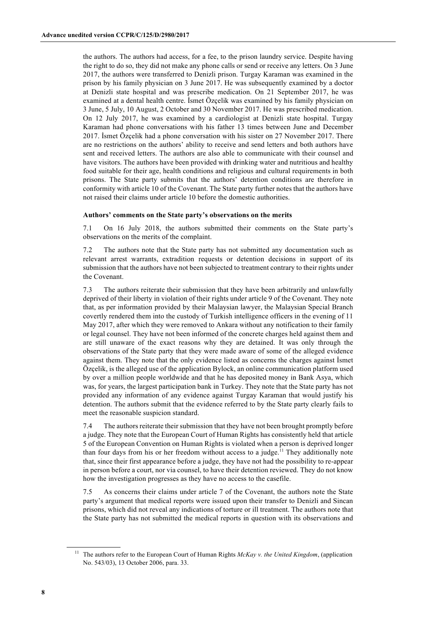the authors. The authors had access, for a fee, to the prison laundry service. Despite having the right to do so, they did not make any phone calls or send or receive any letters. On 3 June 2017, the authors were transferred to Denizli prison. Turgay Karaman was examined in the prison by his family physician on 3 June 2017. He was subsequently examined by a doctor at Denizli state hospital and was prescribe medication. On 21 September 2017, he was examined at a dental health centre. İsmet Özçelik was examined by his family physician on 3 June, 5 July, 10 August, 2 October and 30 November 2017. He was prescribed medication. On 12 July 2017, he was examined by a cardiologist at Denizli state hospital. Turgay Karaman had phone conversations with his father 13 times between June and December 2017. İsmet Özçelik had a phone conversation with his sister on 27 November 2017. There are no restrictions on the authors' ability to receive and send letters and both authors have sent and received letters. The authors are also able to communicate with their counsel and have visitors. The authors have been provided with drinking water and nutritious and healthy food suitable for their age, health conditions and religious and cultural requirements in both prisons. The State party submits that the authors' detention conditions are therefore in conformity with article 10 of the Covenant. The State party further notes that the authors have not raised their claims under article 10 before the domestic authorities.

#### **Authors' comments on the State party's observations on the merits**

7.1 On 16 July 2018, the authors submitted their comments on the State party's observations on the merits of the complaint.

7.2 The authors note that the State party has not submitted any documentation such as relevant arrest warrants, extradition requests or detention decisions in support of its submission that the authors have not been subjected to treatment contrary to their rights under the Covenant.

7.3 The authors reiterate their submission that they have been arbitrarily and unlawfully deprived of their liberty in violation of their rights under article 9 of the Covenant. They note that, as per information provided by their Malaysian lawyer, the Malaysian Special Branch covertly rendered them into the custody of Turkish intelligence officers in the evening of 11 May 2017, after which they were removed to Ankara without any notification to their family or legal counsel. They have not been informed of the concrete charges held against them and are still unaware of the exact reasons why they are detained. It was only through the observations of the State party that they were made aware of some of the alleged evidence against them. They note that the only evidence listed as concerns the charges against İsmet Özçelik, is the alleged use of the application Bylock, an online communication platform used by over a million people worldwide and that he has deposited money in Bank Asya, which was, for years, the largest participation bank in Turkey. They note that the State party has not provided any information of any evidence against Turgay Karaman that would justify his detention. The authors submit that the evidence referred to by the State party clearly fails to meet the reasonable suspicion standard.

7.4 The authors reiterate their submission that they have not been brought promptly before a judge. They note that the European Court of Human Rights has consistently held that article 5 of the European Convention on Human Rights is violated when a person is deprived longer than four days from his or her freedom without access to a judge.<sup>11</sup> They additionally note that, since their first appearance before a judge, they have not had the possibility to re-appear in person before a court, nor via counsel, to have their detention reviewed. They do not know how the investigation progresses as they have no access to the casefile.

7.5 As concerns their claims under article 7 of the Covenant, the authors note the State party's argument that medical reports were issued upon their transfer to Denizli and Sincan prisons, which did not reveal any indications of torture or ill treatment. The authors note that the State party has not submitted the medical reports in question with its observations and

<sup>&</sup>lt;sup>11</sup> The authors refer to the European Court of Human Rights *McKay v. the United Kingdom*, (application No. 543/03), 13 October 2006, para. 33.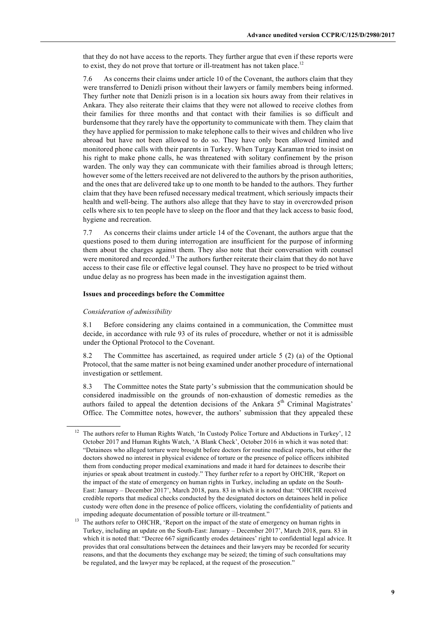that they do not have access to the reports. They further argue that even if these reports were to exist, they do not prove that torture or ill-treatment has not taken place.<sup>12</sup>

7.6 As concerns their claims under article 10 of the Covenant, the authors claim that they were transferred to Denizli prison without their lawyers or family members being informed. They further note that Denizli prison is in a location six hours away from their relatives in Ankara. They also reiterate their claims that they were not allowed to receive clothes from their families for three months and that contact with their families is so difficult and burdensome that they rarely have the opportunity to communicate with them. They claim that they have applied for permission to make telephone calls to their wives and children who live abroad but have not been allowed to do so. They have only been allowed limited and monitored phone calls with their parents in Turkey. When Turgay Karaman tried to insist on his right to make phone calls, he was threatened with solitary confinement by the prison warden. The only way they can communicate with their families abroad is through letters; however some of the letters received are not delivered to the authors by the prison authorities, and the ones that are delivered take up to one month to be handed to the authors. They further claim that they have been refused necessary medical treatment, which seriously impacts their health and well-being. The authors also allege that they have to stay in overcrowded prison cells where six to ten people have to sleep on the floor and that they lack access to basic food, hygiene and recreation.

7.7 As concerns their claims under article 14 of the Covenant, the authors argue that the questions posed to them during interrogation are insufficient for the purpose of informing them about the charges against them. They also note that their conversation with counsel were monitored and recorded.<sup>13</sup> The authors further reiterate their claim that they do not have access to their case file or effective legal counsel. They have no prospect to be tried without undue delay as no progress has been made in the investigation against them.

#### **Issues and proceedings before the Committee**

#### *Consideration of admissibility*

8.1 Before considering any claims contained in a communication, the Committee must decide, in accordance with rule 93 of its rules of procedure, whether or not it is admissible under the Optional Protocol to the Covenant.

8.2 The Committee has ascertained, as required under article 5 (2) (a) of the Optional Protocol, that the same matter is not being examined under another procedure of international investigation or settlement.

8.3 The Committee notes the State party's submission that the communication should be considered inadmissible on the grounds of non-exhaustion of domestic remedies as the authors failed to appeal the detention decisions of the Ankara  $5<sup>th</sup>$  Criminal Magistrates' Office. The Committee notes, however, the authors' submission that they appealed these

<sup>&</sup>lt;sup>12</sup> The authors refer to Human Rights Watch, 'In Custody Police Torture and Abductions in Turkey', 12 October 2017 and Human Rights Watch, 'A Blank Check', October 2016 in which it was noted that: "Detainees who alleged torture were brought before doctors for routine medical reports, but either the doctors showed no interest in physical evidence of torture or the presence of police officers inhibited them from conducting proper medical examinations and made it hard for detainees to describe their injuries or speak about treatment in custody." They further refer to a report by OHCHR, 'Report on the impact of the state of emergency on human rights in Turkey, including an update on the South-East: January – December 2017', March 2018, para. 83 in which it is noted that: "OHCHR received credible reports that medical checks conducted by the designated doctors on detainees held in police custody were often done in the presence of police officers, violating the confidentiality of patients and impeding adequate documentation of possible torture or ill-treatment."

<sup>&</sup>lt;sup>13</sup> The authors refer to OHCHR, 'Report on the impact of the state of emergency on human rights in Turkey, including an update on the South-East: January – December 2017', March 2018, para. 83 in which it is noted that: "Decree 667 significantly erodes detainees' right to confidential legal advice. It provides that oral consultations between the detainees and their lawyers may be recorded for security reasons, and that the documents they exchange may be seized; the timing of such consultations may be regulated, and the lawyer may be replaced, at the request of the prosecution."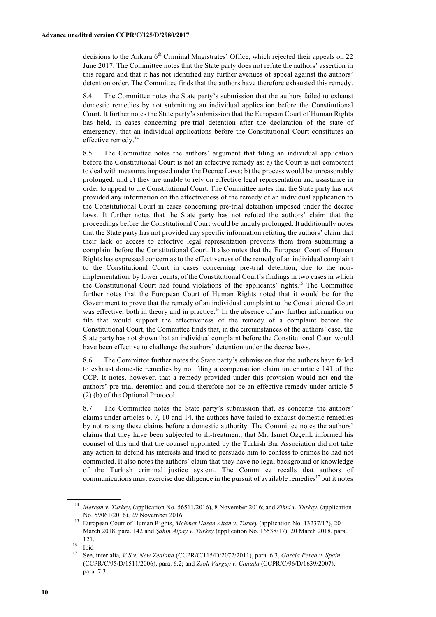decisions to the Ankara  $6<sup>th</sup>$  Criminal Magistrates' Office, which rejected their appeals on 22 June 2017. The Committee notes that the State party does not refute the authors' assertion in this regard and that it has not identified any further avenues of appeal against the authors' detention order. The Committee finds that the authors have therefore exhausted this remedy.

8.4 The Committee notes the State party's submission that the authors failed to exhaust domestic remedies by not submitting an individual application before the Constitutional Court. It further notes the State party's submission that the European Court of Human Rights has held, in cases concerning pre-trial detention after the declaration of the state of emergency, that an individual applications before the Constitutional Court constitutes an effective remedy.<sup>14</sup>

8.5 The Committee notes the authors' argument that filing an individual application before the Constitutional Court is not an effective remedy as: a) the Court is not competent to deal with measures imposed under the Decree Laws; b) the process would be unreasonably prolonged; and c) they are unable to rely on effective legal representation and assistance in order to appeal to the Constitutional Court. The Committee notes that the State party has not provided any information on the effectiveness of the remedy of an individual application to the Constitutional Court in cases concerning pre-trial detention imposed under the decree laws. It further notes that the State party has not refuted the authors' claim that the proceedings before the Constitutional Court would be unduly prolonged. It additionally notes that the State party has not provided any specific information refuting the authors' claim that their lack of access to effective legal representation prevents them from submitting a complaint before the Constitutional Court. It also notes that the European Court of Human Rights has expressed concern as to the effectiveness of the remedy of an individual complaint to the Constitutional Court in cases concerning pre-trial detention, due to the nonimplementation, by lower courts, of the Constitutional Court's findings in two cases in which the Constitutional Court had found violations of the applicants' rights. <sup>15</sup> The Committee further notes that the European Court of Human Rights noted that it would be for the Government to prove that the remedy of an individual complaint to the Constitutional Court was effective, both in theory and in practice.<sup>16</sup> In the absence of any further information on file that would support the effectiveness of the remedy of a complaint before the Constitutional Court, the Committee finds that, in the circumstances of the authors' case, the State party has not shown that an individual complaint before the Constitutional Court would have been effective to challenge the authors' detention under the decree laws.

8.6 The Committee further notes the State party's submission that the authors have failed to exhaust domestic remedies by not filing a compensation claim under article 141 of the CCP. It notes, however, that a remedy provided under this provision would not end the authors' pre-trial detention and could therefore not be an effective remedy under article 5 (2) (b) of the Optional Protocol.

8.7 The Committee notes the State party's submission that, as concerns the authors' claims under articles 6, 7, 10 and 14, the authors have failed to exhaust domestic remedies by not raising these claims before a domestic authority. The Committee notes the authors' claims that they have been subjected to ill-treatment, that Mr. İsmet Özçelik informed his counsel of this and that the counsel appointed by the Turkish Bar Association did not take any action to defend his interests and tried to persuade him to confess to crimes he had not committed. It also notes the authors' claim that they have no legal background or knowledge of the Turkish criminal justice system. The Committee recalls that authors of communications must exercise due diligence in the pursuit of available remedies<sup>17</sup> but it notes

<sup>14</sup> *Mercan v. Turkey*, (application No. 56511/2016), 8 November 2016; and *Zihni v. Turkey*, (application No. 59061/2016), 29 November 2016.

<sup>15</sup> European Court of Human Rights, *Mehmet Hasan Altan v. Turkey* (application No. 13237/17), 20 March 2018, para. 142 and *Şahin Alpay v. Turkey* (application No. 16538/17), 20 March 2018, para. 121.

 $\frac{16}{17}$  Ibid

<sup>17</sup> See, inter alia*, V.S v. New Zealand* (CCPR/C/115/D/2072/2011), para. 6.3, *García Perea v. Spain* (CCPR/C/95/D/1511/2006), para. 6.2; and *Zsolt Vargay v. Canada* (CCPR/C/96/D/1639/2007), para. 7.3.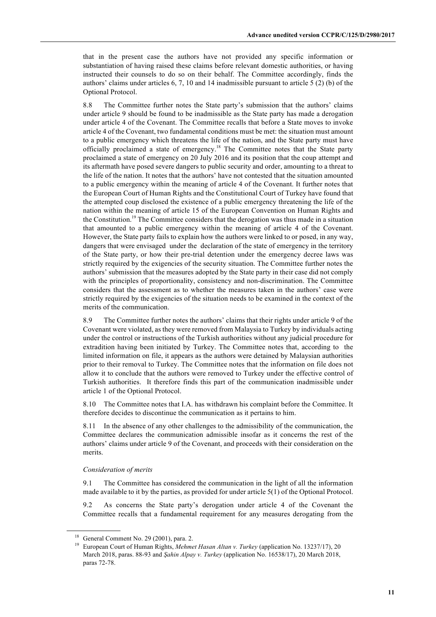that in the present case the authors have not provided any specific information or substantiation of having raised these claims before relevant domestic authorities, or having instructed their counsels to do so on their behalf. The Committee accordingly, finds the authors' claims under articles 6, 7, 10 and 14 inadmissible pursuant to article 5 (2) (b) of the Optional Protocol.

8.8 The Committee further notes the State party's submission that the authors' claims under article 9 should be found to be inadmissible as the State party has made a derogation under article 4 of the Covenant. The Committee recalls that before a State moves to invoke article 4 of the Covenant, two fundamental conditions must be met: the situation must amount to a public emergency which threatens the life of the nation, and the State party must have officially proclaimed a state of emergency.<sup>18</sup> The Committee notes that the State party proclaimed a state of emergency on 20 July 2016 and its position that the coup attempt and its aftermath have posed severe dangers to public security and order, amounting to a threat to the life of the nation. It notes that the authors' have not contested that the situation amounted to a public emergency within the meaning of article 4 of the Covenant. It further notes that the European Court of Human Rights and the Constitutional Court of Turkey have found that the attempted coup disclosed the existence of a public emergency threatening the life of the nation within the meaning of article 15 of the European Convention on Human Rights and the Constitution.19 The Committee considers that the derogation was thus made in a situation that amounted to a public emergency within the meaning of article 4 of the Covenant. However, the State party fails to explain how the authors were linked to or posed, in any way, dangers that were envisaged under the declaration of the state of emergency in the territory of the State party, or how their pre-trial detention under the emergency decree laws was strictly required by the exigencies of the security situation. The Committee further notes the authors' submission that the measures adopted by the State party in their case did not comply with the principles of proportionality, consistency and non-discrimination. The Committee considers that the assessment as to whether the measures taken in the authors' case were strictly required by the exigencies of the situation needs to be examined in the context of the merits of the communication.

8.9 The Committee further notes the authors' claims that their rights under article 9 of the Covenant were violated, as they were removed from Malaysia to Turkey by individuals acting under the control or instructions of the Turkish authorities without any judicial procedure for extradition having been initiated by Turkey. The Committee notes that, according to the limited information on file, it appears as the authors were detained by Malaysian authorities prior to their removal to Turkey. The Committee notes that the information on file does not allow it to conclude that the authors were removed to Turkey under the effective control of Turkish authorities. It therefore finds this part of the communication inadmissible under article 1 of the Optional Protocol.

8.10 The Committee notes that I.A. has withdrawn his complaint before the Committee. It therefore decides to discontinue the communication as it pertains to him.

8.11 In the absence of any other challenges to the admissibility of the communication, the Committee declares the communication admissible insofar as it concerns the rest of the authors' claims under article 9 of the Covenant, and proceeds with their consideration on the merits.

#### *Consideration of merits*

9.1 The Committee has considered the communication in the light of all the information made available to it by the parties, as provided for under article 5(1) of the Optional Protocol.

9.2 As concerns the State party's derogation under article 4 of the Covenant the Committee recalls that a fundamental requirement for any measures derogating from the

 $18$  General Comment No. 29 (2001), para. 2.

<sup>&</sup>lt;sup>19</sup> European Court of Human Rights, *Mehmet Hasan Altan v. Turkey* (application No. 13237/17), 20 March 2018, paras. 88-93 and *Şahin Alpay v. Turkey* (application No. 16538/17), 20 March 2018, paras 72-78.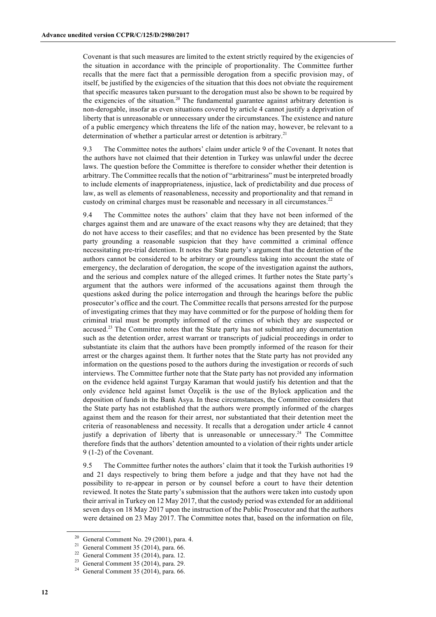Covenant is that such measures are limited to the extent strictly required by the exigencies of the situation in accordance with the principle of proportionality. The Committee further recalls that the mere fact that a permissible derogation from a specific provision may, of itself, be justified by the exigencies of the situation that this does not obviate the requirement that specific measures taken pursuant to the derogation must also be shown to be required by the exigencies of the situation.<sup>20</sup> The fundamental guarantee against arbitrary detention is non-derogable, insofar as even situations covered by article 4 cannot justify a deprivation of liberty that is unreasonable or unnecessary under the circumstances. The existence and nature of a public emergency which threatens the life of the nation may, however, be relevant to a determination of whether a particular arrest or detention is arbitrary.<sup>21</sup>

9.3 The Committee notes the authors' claim under article 9 of the Covenant. It notes that the authors have not claimed that their detention in Turkey was unlawful under the decree laws. The question before the Committee is therefore to consider whether their detention is arbitrary. The Committee recalls that the notion of "arbitrariness" must be interpreted broadly to include elements of inappropriateness, injustice, lack of predictability and due process of law, as well as elements of reasonableness, necessity and proportionality and that remand in custody on criminal charges must be reasonable and necessary in all circumstances.<sup>22</sup>

9.4 The Committee notes the authors' claim that they have not been informed of the charges against them and are unaware of the exact reasons why they are detained; that they do not have access to their casefiles; and that no evidence has been presented by the State party grounding a reasonable suspicion that they have committed a criminal offence necessitating pre-trial detention. It notes the State party's argument that the detention of the authors cannot be considered to be arbitrary or groundless taking into account the state of emergency, the declaration of derogation, the scope of the investigation against the authors, and the serious and complex nature of the alleged crimes. It further notes the State party's argument that the authors were informed of the accusations against them through the questions asked during the police interrogation and through the hearings before the public prosecutor's office and the court. The Committee recalls that persons arrested for the purpose of investigating crimes that they may have committed or for the purpose of holding them for criminal trial must be promptly informed of the crimes of which they are suspected or accused.<sup>23</sup> The Committee notes that the State party has not submitted any documentation such as the detention order, arrest warrant or transcripts of judicial proceedings in order to substantiate its claim that the authors have been promptly informed of the reason for their arrest or the charges against them. It further notes that the State party has not provided any information on the questions posed to the authors during the investigation or records of such interviews. The Committee further note that the State party has not provided any information on the evidence held against Turgay Karaman that would justify his detention and that the only evidence held against İsmet Özçelik is the use of the Bylock application and the deposition of funds in the Bank Asya. In these circumstances, the Committee considers that the State party has not established that the authors were promptly informed of the charges against them and the reason for their arrest, nor substantiated that their detention meet the criteria of reasonableness and necessity. It recalls that a derogation under article 4 cannot justify a deprivation of liberty that is unreasonable or unnecessary.<sup>24</sup> The Committee therefore finds that the authors' detention amounted to a violation of their rights under article 9 (1-2) of the Covenant.

9.5 The Committee further notes the authors' claim that it took the Turkish authorities 19 and 21 days respectively to bring them before a judge and that they have not had the possibility to re-appear in person or by counsel before a court to have their detention reviewed. It notes the State party's submission that the authors were taken into custody upon their arrival in Turkey on 12 May 2017, that the custody period was extended for an additional seven days on 18 May 2017 upon the instruction of the Public Prosecutor and that the authors were detained on 23 May 2017. The Committee notes that, based on the information on file,

 $20$  General Comment No. 29 (2001), para. 4.

<sup>&</sup>lt;sup>21</sup> General Comment 35 (2014), para. 66.

 $22$  General Comment 35 (2014), para. 12.

 $23$  General Comment 35 (2014), para. 29.

 $24$  General Comment 35 (2014), para. 66.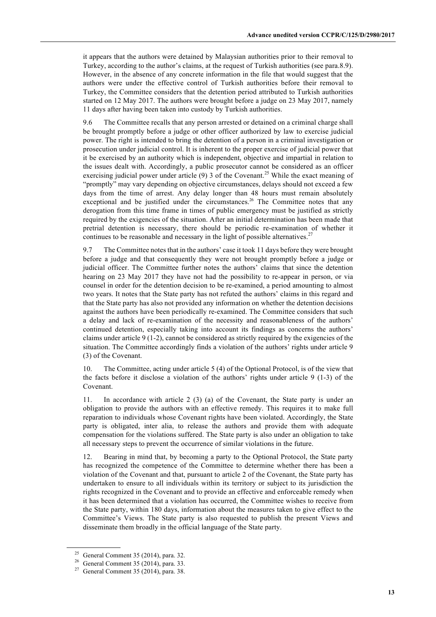it appears that the authors were detained by Malaysian authorities prior to their removal to Turkey, according to the author's claims, at the request of Turkish authorities (see para.8.9). However, in the absence of any concrete information in the file that would suggest that the authors were under the effective control of Turkish authorities before their removal to Turkey, the Committee considers that the detention period attributed to Turkish authorities started on 12 May 2017. The authors were brought before a judge on 23 May 2017, namely 11 days after having been taken into custody by Turkish authorities.

9.6 The Committee recalls that any person arrested or detained on a criminal charge shall be brought promptly before a judge or other officer authorized by law to exercise judicial power. The right is intended to bring the detention of a person in a criminal investigation or prosecution under judicial control. It is inherent to the proper exercise of judicial power that it be exercised by an authority which is independent, objective and impartial in relation to the issues dealt with. Accordingly, a public prosecutor cannot be considered as an officer exercising judicial power under article  $(9)$  3 of the Covenant.<sup>25</sup> While the exact meaning of "promptly" may vary depending on objective circumstances, delays should not exceed a few days from the time of arrest. Any delay longer than 48 hours must remain absolutely exceptional and be justified under the circumstances.<sup>26</sup> The Committee notes that any derogation from this time frame in times of public emergency must be justified as strictly required by the exigencies of the situation. After an initial determination has been made that pretrial detention is necessary, there should be periodic re-examination of whether it continues to be reasonable and necessary in the light of possible alternatives.<sup>27</sup>

9.7 The Committee notes that in the authors' case it took 11 days before they were brought before a judge and that consequently they were not brought promptly before a judge or judicial officer. The Committee further notes the authors' claims that since the detention hearing on 23 May 2017 they have not had the possibility to re-appear in person, or via counsel in order for the detention decision to be re-examined, a period amounting to almost two years. It notes that the State party has not refuted the authors' claims in this regard and that the State party has also not provided any information on whether the detention decisions against the authors have been periodically re-examined. The Committee considers that such a delay and lack of re-examination of the necessity and reasonableness of the authors' continued detention, especially taking into account its findings as concerns the authors' claims under article 9 (1-2), cannot be considered as strictly required by the exigencies of the situation. The Committee accordingly finds a violation of the authors' rights under article 9 (3) of the Covenant.

10. The Committee, acting under article 5 (4) of the Optional Protocol, is of the view that the facts before it disclose a violation of the authors' rights under article 9 (1-3) of the Covenant.

11. In accordance with article 2 (3) (a) of the Covenant, the State party is under an obligation to provide the authors with an effective remedy. This requires it to make full reparation to individuals whose Covenant rights have been violated. Accordingly, the State party is obligated, inter alia, to release the authors and provide them with adequate compensation for the violations suffered. The State party is also under an obligation to take all necessary steps to prevent the occurrence of similar violations in the future.

12. Bearing in mind that, by becoming a party to the Optional Protocol, the State party has recognized the competence of the Committee to determine whether there has been a violation of the Covenant and that, pursuant to article 2 of the Covenant, the State party has undertaken to ensure to all individuals within its territory or subject to its jurisdiction the rights recognized in the Covenant and to provide an effective and enforceable remedy when it has been determined that a violation has occurred, the Committee wishes to receive from the State party, within 180 days, information about the measures taken to give effect to the Committee's Views. The State party is also requested to publish the present Views and disseminate them broadly in the official language of the State party.

<sup>&</sup>lt;sup>25</sup> General Comment 35 (2014), para. 32.

<sup>26</sup> General Comment 35 (2014), para. 33.

 $27$  General Comment 35 (2014), para. 38.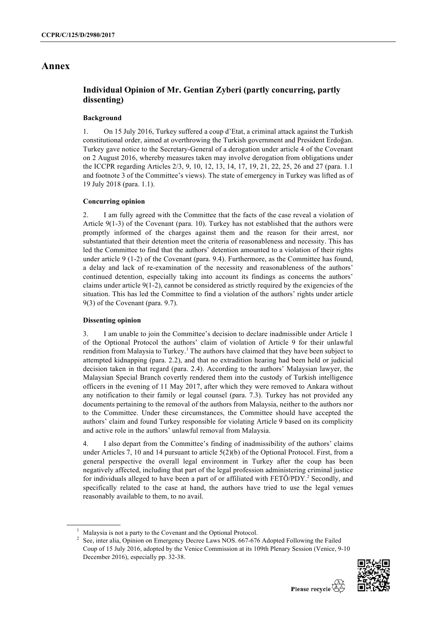## **Annex**

## **Individual Opinion of Mr. Gentian Zyberi (partly concurring, partly dissenting)**

### **Background**

1. On 15 July 2016, Turkey suffered a coup d'Etat, a criminal attack against the Turkish constitutional order, aimed at overthrowing the Turkish government and President Erdoğan. Turkey gave notice to the Secretary-General of a derogation under article 4 of the Covenant on 2 August 2016, whereby measures taken may involve derogation from obligations under the ICCPR regarding Articles 2/3, 9, 10, 12, 13, 14, 17, 19, 21, 22, 25, 26 and 27 (para. 1.1 and footnote 3 of the Committee's views). The state of emergency in Turkey was lifted as of 19 July 2018 (para. 1.1).

#### **Concurring opinion**

2. I am fully agreed with the Committee that the facts of the case reveal a violation of Article 9(1-3) of the Covenant (para. 10). Turkey has not established that the authors were promptly informed of the charges against them and the reason for their arrest, nor substantiated that their detention meet the criteria of reasonableness and necessity. This has led the Committee to find that the authors' detention amounted to a violation of their rights under article 9 (1-2) of the Covenant (para. 9.4). Furthermore, as the Committee has found, a delay and lack of re-examination of the necessity and reasonableness of the authors' continued detention, especially taking into account its findings as concerns the authors' claims under article  $9(1-2)$ , cannot be considered as strictly required by the exigencies of the situation. This has led the Committee to find a violation of the authors' rights under article 9(3) of the Covenant (para. 9.7).

## **Dissenting opinion**

3. I am unable to join the Committee's decision to declare inadmissible under Article 1 of the Optional Protocol the authors' claim of violation of Article 9 for their unlawful rendition from Malaysia to Turkey.<sup>1</sup> The authors have claimed that they have been subject to attempted kidnapping (para. 2.2), and that no extradition hearing had been held or judicial decision taken in that regard (para. 2.4). According to the authors' Malaysian lawyer, the Malaysian Special Branch covertly rendered them into the custody of Turkish intelligence officers in the evening of 11 May 2017, after which they were removed to Ankara without any notification to their family or legal counsel (para. 7.3). Turkey has not provided any documents pertaining to the removal of the authors from Malaysia, neither to the authors nor to the Committee. Under these circumstances, the Committee should have accepted the authors' claim and found Turkey responsible for violating Article 9 based on its complicity and active role in the authors' unlawful removal from Malaysia.

4. I also depart from the Committee's finding of inadmissibility of the authors' claims under Articles 7, 10 and 14 pursuant to article 5(2)(b) of the Optional Protocol. First, from a general perspective the overall legal environment in Turkey after the coup has been negatively affected, including that part of the legal profession administering criminal justice for individuals alleged to have been a part of or affiliated with  $FETÖ/PDY$ .<sup>2</sup> Secondly, and specifically related to the case at hand, the authors have tried to use the legal venues reasonably available to them, to no avail.

<sup>&</sup>lt;sup>2</sup> See, inter alia, Opinion on Emergency Decree Laws NOS. 667-676 Adopted Following the Failed Coup of 15 July 2016, adopted by the Venice Commission at its 109th Plenary Session (Venice, 9-10 December 2016), especially pp. 32-38.



<sup>1</sup> Malaysia is not a party to the Covenant and the Optional Protocol.